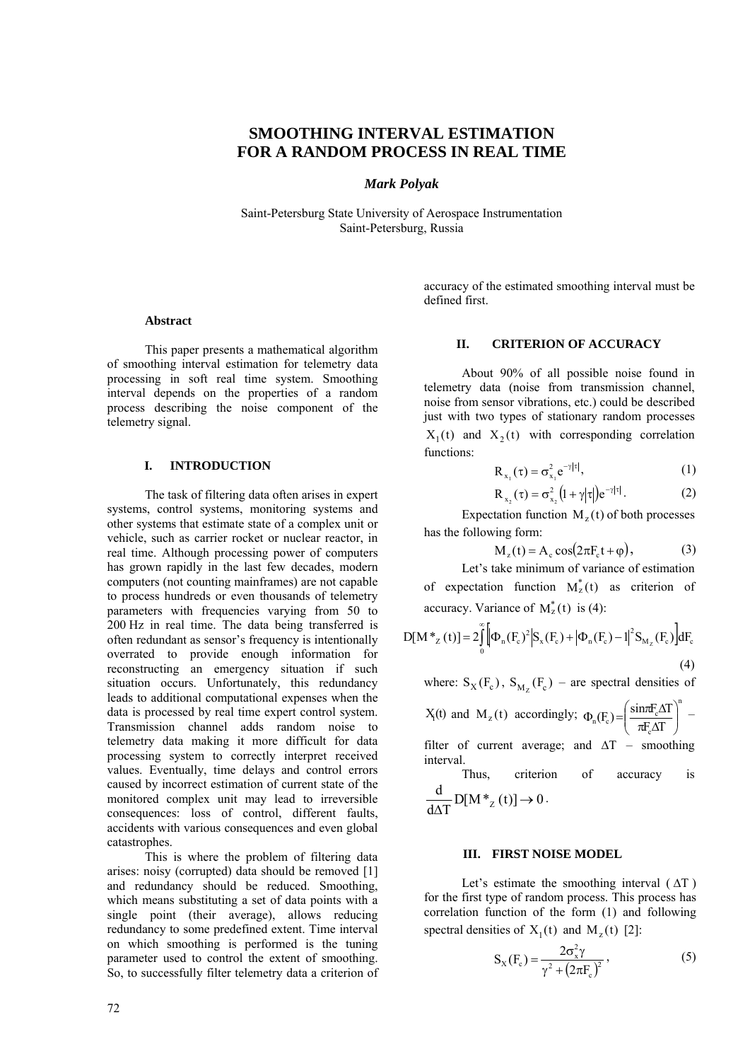# **SMOOTHING INTERVAL ESTIMATION FOR A RANDOM PROCESS IN REAL TIME**

*Mark Polyak* 

Saint-Petersburg State University of Aerospace Instrumentation Saint-Petersburg, Russia

**Abstract** 

This paper presents a mathematical algorithm of smoothing interval estimation for telemetry data processing in soft real time system. Smoothing interval depends on the properties of a random process describing the noise component of the telemetry signal.

#### **I. INTRODUCTION**

The task of filtering data often arises in expert systems, control systems, monitoring systems and other systems that estimate state of a complex unit or vehicle, such as carrier rocket or nuclear reactor, in real time. Although processing power of computers has grown rapidly in the last few decades, modern computers (not counting mainframes) are not capable to process hundreds or even thousands of telemetry parameters with frequencies varying from 50 to 200 Hz in real time. The data being transferred is often redundant as sensor's frequency is intentionally overrated to provide enough information for reconstructing an emergency situation if such situation occurs. Unfortunately, this redundancy leads to additional computational expenses when the data is processed by real time expert control system. Transmission channel adds random noise to telemetry data making it more difficult for data processing system to correctly interpret received values. Eventually, time delays and control errors caused by incorrect estimation of current state of the monitored complex unit may lead to irreversible consequences: loss of control, different faults, accidents with various consequences and even global catastrophes.

This is where the problem of filtering data arises: noisy (corrupted) data should be removed [1] and redundancy should be reduced. Smoothing, which means substituting a set of data points with a single point (their average), allows reducing redundancy to some predefined extent. Time interval on which smoothing is performed is the tuning parameter used to control the extent of smoothing. So, to successfully filter telemetry data a criterion of

# accuracy of the estimated smoothing interval must be defined first.

## **II. CRITERION OF ACCURACY**

About 90% of all possible noise found in telemetry data (noise from transmission channel, noise from sensor vibrations, etc.) could be described just with two types of stationary random processes  $X_1(t)$  and  $X_2(t)$  with corresponding correlation functions:

$$
R_{x_1}(\tau) = \sigma_{x_1}^2 e^{-\gamma |\tau|}, \qquad (1)
$$

$$
R_{x_2}(\tau) = \sigma_{x_2}^2 (1 + \gamma |\tau|) e^{-\gamma |\tau|}. \tag{2}
$$

Expectation function  $M<sub>z</sub>(t)$  of both processes has the following form:

$$
M_z(t) = A_c \cos(2\pi F_c t + \varphi), \qquad (3)
$$

Let's take minimum of variance of estimation of expectation function  $M_z^*(t)$  as criterion of accuracy. Variance of  $M<sub>z</sub><sup>*</sup>(t)$  is (4):

$$
D[M *_{Z}(t)] = 2\int_{0}^{\infty} \left[ \Phi_{n}(F_{c})^{2} | S_{x}(F_{c}) + |\Phi_{n}(F_{c}) - 1|^{2} S_{M_{Z}}(F_{c}) \right] dF_{c}
$$
\n(4)

where:  $S_X(F_c)$ ,  $S_{M_{\tau}}(F_c)$  – are spectral densities of

 $X_i(t)$  and  $M_z(t)$  accordingly; n c  $\mathbf{e}_n(\mathbf{F}_c) = \left(\frac{\sin \pi \mathbf{F}_c \Delta \mathbf{T}}{\pi \mathbf{F}_c \Delta \mathbf{T}}\right)$ ⎠ ⎞  $\parallel$ ⎝  $\sqrt{2}$  $\pi F_c \Delta$  $\Phi_n(F_c) = \left(\frac{\sin \pi F_c \Delta T}{T_c} \right)^n$ 

filter of current average; and  $\Delta T$  – smoothing interval.

Thus, criterion of accuracy is  $D[M^*_{Z}(t)] \rightarrow 0$  $d\Delta T$  $\frac{d}{\Delta T} D[M^*_{Z}(t)] \rightarrow 0$ .

# **III. FIRST NOISE MODEL**

Let's estimate the smoothing interval  $( \Delta T )$ for the first type of random process. This process has correlation function of the form (1) and following spectral densities of  $X_1(t)$  and  $M_2(t)$  [2]:

$$
S_X(F_c) = \frac{2\sigma_x^2 \gamma}{\gamma^2 + (2\pi F_c)^2},
$$
\n(5)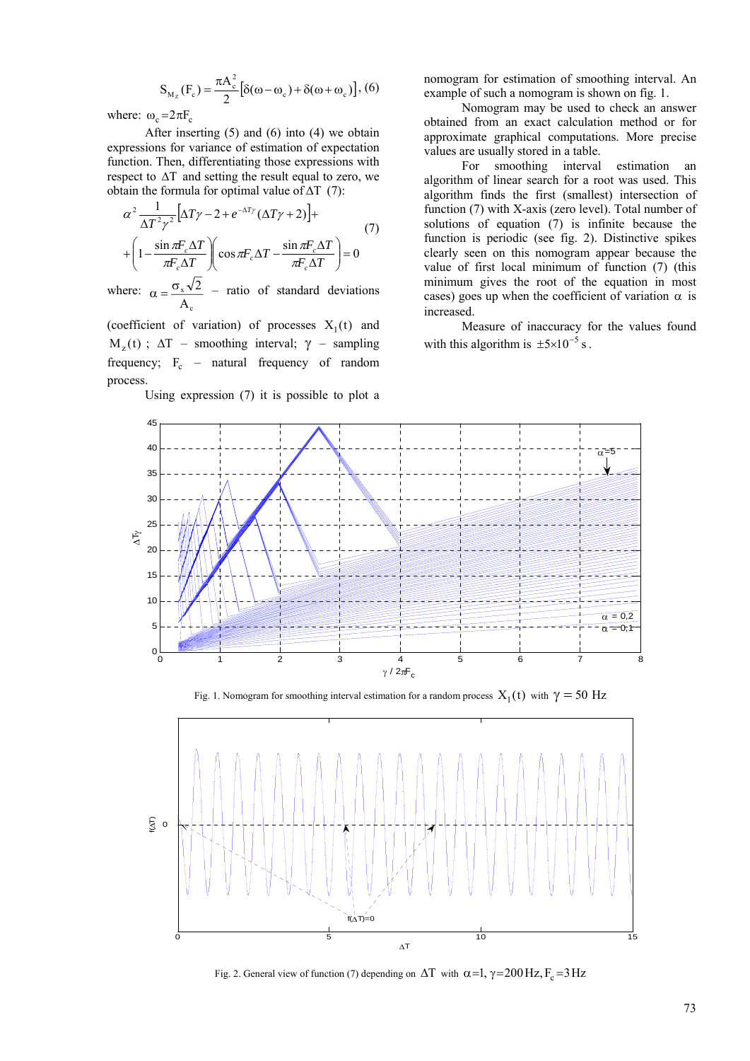$$
S_{M_z}(F_c) = \frac{\pi A_c^2}{2} [\delta(\omega - \omega_c) + \delta(\omega + \omega_c)],
$$
 (6)

where:  $\omega_c = 2\pi F_c$ 

After inserting (5) and (6) into (4) we obtain expressions for variance of estimation of expectation function. Then, differentiating those expressions with respect to  $\Delta T$  and setting the result equal to zero, we obtain the formula for optimal value of  $\Delta T$  (7):

$$
\alpha^2 \frac{1}{\Delta T^2 \gamma^2} \Big[ \Delta T \gamma - 2 + e^{-\Delta T \gamma} (\Delta T \gamma + 2) \Big] +
$$
  
+ 
$$
\left( 1 - \frac{\sin \pi F_c \Delta T}{\pi F_c \Delta T} \right) \Bigg( \cos \pi F_c \Delta T - \frac{\sin \pi F_c \Delta T}{\pi F_c \Delta T} \Bigg) = 0
$$
 (7)

where: c x A  $\alpha = \frac{\sigma_x \sqrt{2}}{2}$  – ratio of standard deviations

(coefficient of variation) of processes  $X_1(t)$  and  $M_{\gamma}(t)$ ;  $\Delta T$  – smoothing interval;  $\gamma$  – sampling frequency;  $F_c$  – natural frequency of random process.

Using expression (7) it is possible to plot a

nomogram for estimation of smoothing interval. An example of such a nomogram is shown on fig. 1.

Nomogram may be used to check an answer obtained from an exact calculation method or for approximate graphical computations. More precise values are usually stored in a table.

For smoothing interval estimation an algorithm of linear search for a root was used. This algorithm finds the first (smallest) intersection of function (7) with X-axis (zero level). Total number of solutions of equation (7) is infinite because the function is periodic (see fig. 2). Distinctive spikes clearly seen on this nomogram appear because the value of first local minimum of function (7) (this minimum gives the root of the equation in most cases) goes up when the coefficient of variation  $\alpha$  is increased.

Measure of inaccuracy for the values found with this algorithm is  $\pm 5 \times 10^{-5}$  s.



Fig. 1. Nomogram for smoothing interval estimation for a random process  $X_1(t)$  with  $\gamma = 50$  Hz



Fig. 2. General view of function (7) depending on  $\Delta T$  with  $\alpha = 1$ ,  $\gamma = 200$  Hz,  $F_c = 3$  Hz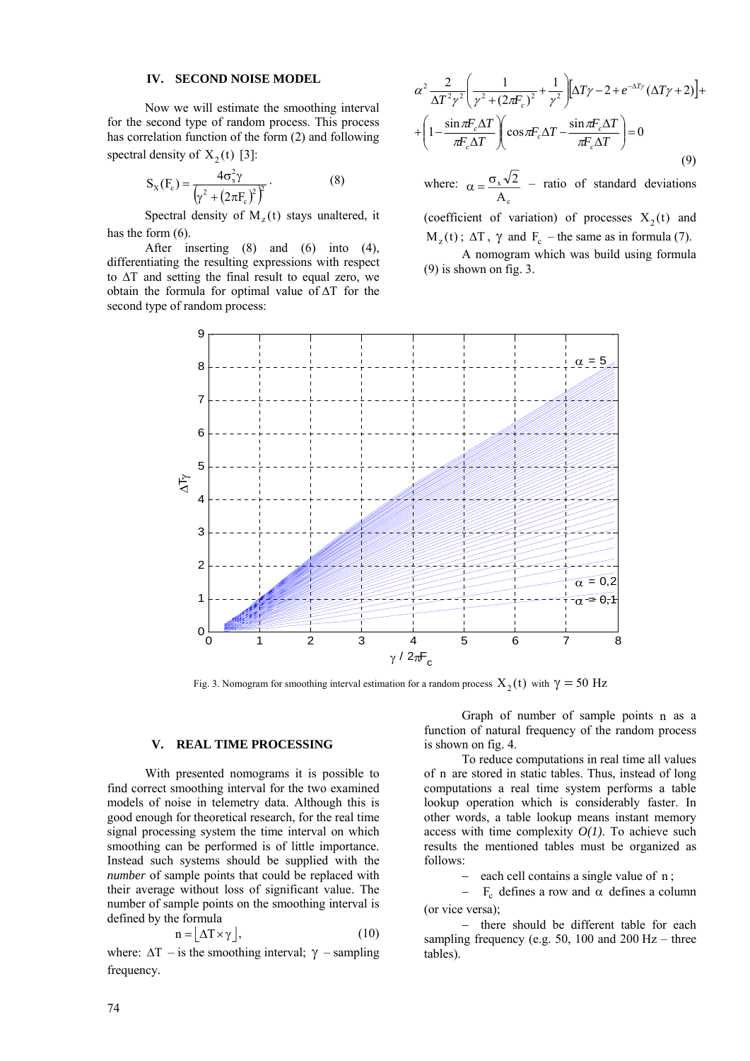### **IV. SECOND NOISE MODEL**

Now we will estimate the smoothing interval for the second type of random process. This process has correlation function of the form (2) and following spectral density of  $X_2(t)$  [3]:

$$
S_X(F_c) = \frac{4\sigma_x^2 \gamma}{\left(\gamma^2 + (2\pi F_c)^2\right)^2}.
$$
 (8)

Spectral density of  $M<sub>z</sub>(t)$  stays unaltered, it has the form  $(6)$ .

After inserting (8) and (6) into (4), differentiating the resulting expressions with respect to ΔT and setting the final result to equal zero, we obtain the formula for optimal value of ΔT for the second type of random process:

$$
\alpha^2 \frac{2}{\Delta T^2 \gamma^2} \left( \frac{1}{\gamma^2 + (2\pi F_c)^2} + \frac{1}{\gamma^2} \right) \left[ \Delta T \gamma - 2 + e^{-\Delta T \gamma} (\Delta T \gamma + 2) \right] +
$$

$$
+ \left( 1 - \frac{\sin \pi F_c \Delta T}{\pi F_c \Delta T} \right) \left( \cos \pi F_c \Delta T - \frac{\sin \pi F_c \Delta T}{\pi F_c \Delta T} \right) = 0
$$
(9)

where: c x A  $\alpha = \frac{\sigma_x \sqrt{2}}{2}$  – ratio of standard deviations

(coefficient of variation) of processes  $X_2(t)$  and  $M_{z}(t)$ ;  $\Delta T$ ,  $\gamma$  and  $F_c$  – the same as in formula (7).

A nomogram which was build using formula (9) is shown on fig. 3.



Fig. 3. Nomogram for smoothing interval estimation for a random process  $X_2(t)$  with  $\gamma = 50$  Hz

#### **V. REAL TIME PROCESSING**

With presented nomograms it is possible to find correct smoothing interval for the two examined models of noise in telemetry data. Although this is good enough for theoretical research, for the real time signal processing system the time interval on which smoothing can be performed is of little importance. Instead such systems should be supplied with the *number* of sample points that could be replaced with their average without loss of significant value. The number of sample points on the smoothing interval is defined by the formula

$$
n = \lfloor \Delta T \times \gamma \rfloor, \tag{10}
$$

where:  $\Delta T$  – is the smoothing interval;  $\gamma$  – sampling frequency.

Graph of number of sample points n as a function of natural frequency of the random process is shown on fig. 4.

To reduce computations in real time all values of n are stored in static tables. Thus, instead of long computations a real time system performs a table lookup operation which is considerably faster. In other words, a table lookup means instant memory access with time complexity *O(1)*. To achieve such results the mentioned tables must be organized as follows:

each cell contains a single value of n;

 $-$  F<sub>c</sub> defines a row and  $\alpha$  defines a column (or vice versa);

− there should be different table for each sampling frequency (e.g.  $50$ ,  $100$  and  $200$  Hz – three tables).